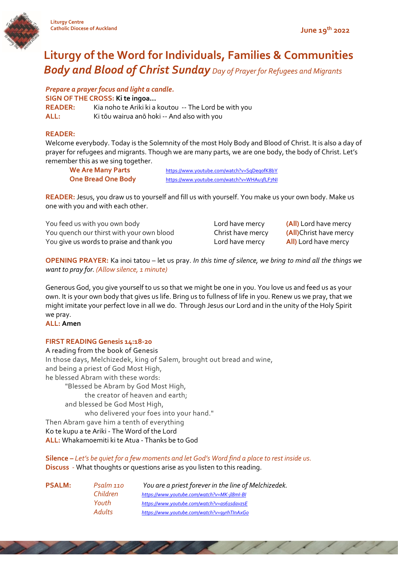

# **Liturgy of the Word for Individuals, Families & Communities** *Body and Blood of Christ Sunday Day of Prayer for Refugees and Migrants*

*Prepare a prayer focus and light a candle.*

**SIGN OF THE CROSS: Ki te ingoa…**

**READER:** Kia noho te Ariki ki a koutou -- The Lord be with you **ALL:** Ki tōu wairua anō hoki -- And also with you

# **READER:**

Welcome everybody. Today is the Solemnity of the most Holy Body and Blood of Christ. It is also a day of prayer for refugees and migrants. Though we are many parts, we are one body, the body of Christ. Let's remember this as we sing together.

We Are Many Parts https://www.youtube.com/watch?v=SqDeqofK8bY **One Bread One Body** <https://www.youtube.com/watch?v=WHAu3fLF7NI>

**READER:** Jesus, you draw us to yourself and fill us with yourself. You make us your own body. Make us one with you and with each other.

| You feed us with you own body             | Lord have mercy   |
|-------------------------------------------|-------------------|
| You quench our thirst with your own blood | Christ have mercy |
| You give us words to praise and thank you | Lord have mercy   |

(All) Lord have mercy **(All)**Christ have mercy All) Lord have mercy

**OPENING PRAYER:** Ka inoi tatou – let us pray. *In this time of silence, we bring to mind all the things we want to pray for. (Allow silence, 1 minute)*

Generous God, you give yourself to us so that we might be one in you. You love us and feed us as your own. It is your own body that gives us life. Bring us to fullness of life in you. Renew us we pray, that we might imitate your perfect love in all we do. Through Jesus our Lord and in the unity of the Holy Spirit we pray.

**ALL: Amen**

# **FIRST READING Genesis 14:18-20**

A reading from the book of Genesis In those days, Melchizedek, king of Salem, brought out bread and wine, and being a priest of God Most High, he blessed Abram with these words: "Blessed be Abram by God Most High, the creator of heaven and earth; and blessed be God Most High, who delivered your foes into your hand." Then Abram gave him a tenth of everything Ko te kupu a te Ariki - The Word of the Lord **ALL:** Whakamoemiti ki te Atua - Thanks be to God

**Silence –** *Let's be quiet for a few moments and let God's Word find a place to rest inside us.*  **Discuss** - What thoughts or questions arise as you listen to this reading.

| <b>PSALM:</b> | Psalm 110 | You are a priest forever in the line of Melchizedek. |
|---------------|-----------|------------------------------------------------------|
|               | Children  | https://www.youtube.com/watch?v=MK-jl8ml-BI          |
|               | Youth     | https://www.youtube.com/watch?v=as61sdavzsE          |
|               | Adults    | https://www.youtube.com/watch?v=9yrhTlnAxGo          |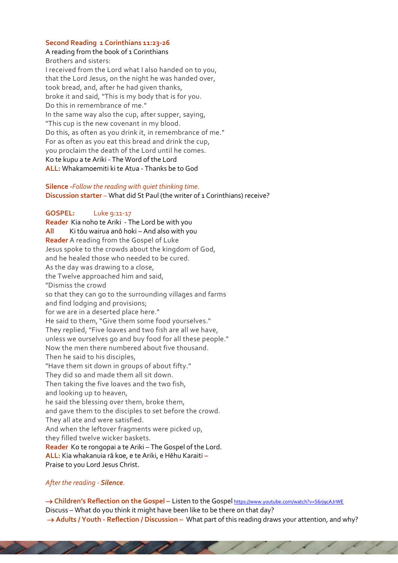#### **Second Reading 1 Corinthians 11:23-26**

#### A reading from the book of 1 Corinthians

Brothers and sisters: I received from the Lord what I also handed on to you, that the Lord Jesus, on the night he was handed over, took bread, and, after he had given thanks, broke it and said, "This is my body that is for you. Do this in remembrance of me." In the same way also the cup, after supper, saying, "This cup is the new covenant in my blood. Do this, as often as you drink it, in remembrance of me." For as often as you eat this bread and drink the cup, you proclaim the death of the Lord until he comes. Ko te kupu a te Ariki - The Word of the Lord **ALL:** Whakamoemiti ki te Atua - Thanks be to God

#### **Silence -***Follow the reading with quiet thinking time.*  **Discussion starter** – What did St Paul (the writer of 1 Corinthians) receive?

**GOSPEL:** Luke 9:11-17 **Reader** Kia noho te Ariki - The Lord be with you **All** Ki tōu wairua anō hoki – And also with you **Reader** A reading from the Gospel of Luke Jesus spoke to the crowds about the kingdom of God, and he healed those who needed to be cured. As the day was drawing to a close, the Twelve approached him and said, "Dismiss the crowd so that they can go to the surrounding villages and farms and find lodging and provisions; for we are in a deserted place here." He said to them, "Give them some food yourselves." They replied, "Five loaves and two fish are all we have, unless we ourselves go and buy food for all these people." Now the men there numbered about five thousand. Then he said to his disciples, "Have them sit down in groups of about fifty." They did so and made them all sit down. Then taking the five loaves and the two fish, and looking up to heaven, he said the blessing over them, broke them, and gave them to the disciples to set before the crowd. They all ate and were satisfied. And when the leftover fragments were picked up, they filled twelve wicker baskets. **Reader** Ko te rongopai a te Ariki – The Gospel of the Lord. **ALL:** Kia whakanuia rā koe, e te Ariki, e Hēhu Karaiti **–** Praise to you Lord Jesus Christ.

 $\overline{\phantom{a}}$ 

# *After the reading - Silence.*

→ **Children's Reflection on the Gospel** – Listen to the Gospel https://www.youtube.com/watch?v=S6rjqcAJrWE Discuss – What do you think it might have been like to be there on that day? → **Adults** / Youth - Reflection / Discussion – What part of this reading draws your attention, and why?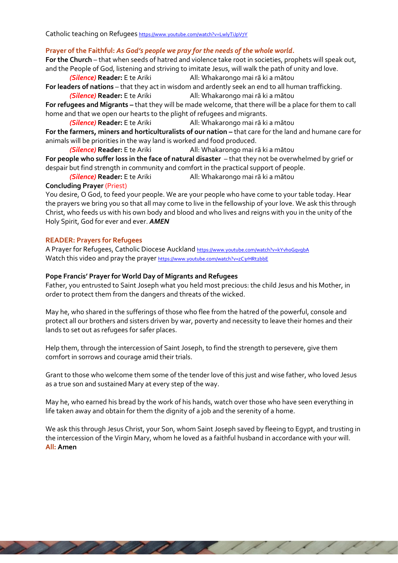Catholic teaching on Refugees <https://www.youtube.com/watch?v=LwlyTiJpV7Y>

# **Prayer of the Faithful:** *As God's people we pray for the needs of the whole world.*

**For the Church** – that when seeds of hatred and violence take root in societies, prophets will speak out, and the People of God, listening and striving to imitate Jesus, will walk the path of unity and love.

*(Silence)* **Reader:** E te Ariki All: Whakarongo mai rā ki a mātou

**For leaders of nations** – that they act in wisdom and ardently seek an end to all human trafficking.

*(Silence)* **Reader:** E te Ariki All: Whakarongo mai rā ki a mātou

**For refugees and Migrants –** that they will be made welcome, that there will be a place for them to call home and that we open our hearts to the plight of refugees and migrants.

*(Silence)* **Reader:** E te Ariki All: Whakarongo mai rā ki a mātou **For the farmers, miners and horticulturalists of our nation – that care for the land and humane care for** animals will be priorities in the way land is worked and food produced.

*(Silence)* **Reader:** E te Ariki All: Whakarongo mai rā ki a mātou

**For people who suffer loss in the face of natural disaster** – that they not be overwhelmed by grief or despair but find strength in community and comfort in the practical support of people.

*(Silence)* **Reader:** E te Ariki All: Whakarongo mai rā ki a mātou

## **Concluding Prayer** (Priest)

You desire, O God, to feed your people. We are your people who have come to your table today. Hear the prayers we bring you so that all may come to live in the fellowship of your love. We ask this through Christ, who feeds us with his own body and blood and who lives and reigns with you in the unity of the Holy Spirit, God for ever and ever. *AMEN*

## **READER: Prayers for Refugees**

A Prayer for Refugees, Catholic Diocese Auckland https://www.youtube.com/watch?v=kYvhoGqvqbA Watch this video and pray the prayer <https://www.youtube.com/watch?v=zC3rHRt2bbE>

## **Pope Francis' Prayer for World Day of Migrants and Refugees**

a de la construcción de la construcción de la construcción de la construcción de la construcción de la construcción de la construcción de la construcción de la construcción de la construcción de la construcción de la const

Father, you entrusted to Saint Joseph what you held most precious: the child Jesus and his Mother, in order to protect them from the dangers and threats of the wicked.

May he, who shared in the sufferings of those who flee from the hatred of the powerful, console and protect all our brothers and sisters driven by war, poverty and necessity to leave their homes and their lands to set out as refugees for safer places.

Help them, through the intercession of Saint Joseph, to find the strength to persevere, give them comfort in sorrows and courage amid their trials.

Grant to those who welcome them some of the tender love of this just and wise father, who loved Jesus as a true son and sustained Mary at every step of the way.

May he, who earned his bread by the work of his hands, watch over those who have seen everything in life taken away and obtain for them the dignity of a job and the serenity of a home.

We ask this through Jesus Christ, your Son, whom Saint Joseph saved by fleeing to Egypt, and trusting in the intercession of the Virgin Mary, whom he loved as a faithful husband in accordance with your will. **All: Amen**